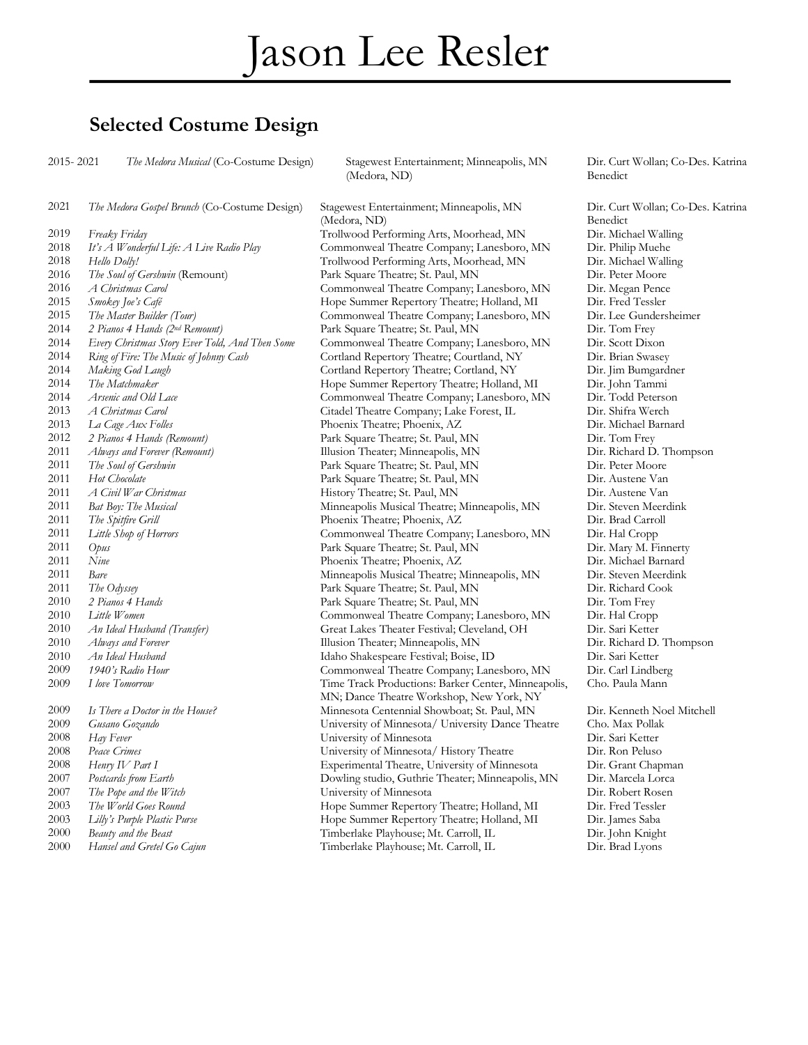#### **Selected Costume Design**

2015- 2021 *The Medora Musical* (Co-Costume Design) Stagewest Entertainment; Minneapolis, MN

(Medora, ND)

*The Medora Gospel Brunch* (Co-Costume Design) Stagewest Entertainment; Minneapolis, MN

*Always and Forever (Remount)* Illusion Theater; Minneapolis, MN

(Medora, ND) *Freaky Friday* Trollwood Performing Arts, Moorhead, MN Dir. Michael Walling *It's A Wonderful Life: A Live Radio Play* Commonweal Theatre Company; Lanesboro, MN Dir. Philip Muehe *Hello Dolly!* Trollwood Performing Arts, Moorhead, MN Dir. Michael Walling *The Soul of Gershwin* (Remount) Park Square Theatre; St. Paul, MN Dir. Peter Moore *A Christmas Carol* Commonweal Theatre Company; Lanesboro, MN Dir. Megan Pence *Smokey Joe's Café* Hope Summer Repertory Theatre; Holland, MI Dir. Fred Tessler *The Master Builder (Tour)* Commonweal Theatre Company; Lanesboro, MN Dir. Lee Gundersheimer *2 Pianos 4 Hands (2nd Remount)* Park Square Theatre; St. Paul, MN Dir. Tom Frey *Every Christmas Story Ever Told, And Then Some* Commonweal Theatre Company; Lanesboro, MN Dir. Scott Dixon *Ring of Fire: The Music of Johnny Cash* Cortland Repertory Theatre; Courtland, NY Dir. Brian Swasey 2014 Making God Laugh Cortland Repertory Theatre; Cortland, NY Dir. Jim Bumgardner *The Matchmaker* Hope Summer Repertory Theatre; Holland, MI Dir. John Tammi *Arsenic and Old Lace* Commonweal Theatre Company; Lanesboro, MN Dir. Todd Peterson *A Christmas Carol* Citadel Theatre Company; Lake Forest, IL Dir. Shifra Werch *La Cage Aux Folles* Phoenix Theatre; Phoenix, AZ Dir. Michael Barnard *2 Pianos 4 Hands (Remount)* Park Square Theatre; St. Paul, MN Dir. Tom Frey *The Soul of Gershwin* Park Square Theatre; St. Paul, MN Dir. Peter Moore<br>2011 *Hat Chocolate* Park Square Theatre; St. Paul, MN Dir. Austene Van *Hot Chocolate* **Park Square Theatre; St. Paul, MN** Dir. Austene Van 2011 *A Civil War Christmas* **Park Square Theatre: St. Paul, MN** Dir. Austene Van 2011 *A Civil War Christmas A Civil War Christmas* History Theatre; St. Paul, MN Dir. Austene Van *Bat Boy: The Musical* **Minneapolis Musical Theatre; Minneapolis, MN** Dir. Steven Meerdink *The Spitfire Grill* Phoenix Theatre; Phoenix, AZ Dir. Brad Carroll *Little Shop of Horrors* Commonweal Theatre Company; Lanesboro, MN Dir. Hal Cropp *Opus* Park Square Theatre; St. Paul, MN Dir. Mary M. Finnerty *Nine* Phoenix Theatre; Phoenix, AZ Dir. Michael Barnard *Bare* **Bare Minneapolis Musical Theatre; Minneapolis, MN** Dir. Steven Meerdink *The Odyssey* Park Square Theatre; St. Paul, MN Dir. Richard Cook *2 Pianos 4 Hands* Park Square Theatre; St. Paul, MN Dir. Tom Frey *Little Women* Commonweal Theatre Company; Lanesboro, MN Dir. Hal Cropp *An Ideal Husband (Transfer)* Great Lakes Theater Festival; Cleveland, OH Dir. Sari Ketter *Always and Forever* The Suite of Theater, Minneapolis, MN Dir. Richard D. Thompson<br>2010 *An Ideal Husband* States and Theater and Shakespeare Festival: Boise. ID Dir. Sari Ketter *An Ideal Husband* Idaho Shakespeare Festival; Boise, ID Dir. Sari Ketter *1940's Radio Hour* Commonweal Theatre Company; Lanesboro, MN Dir. Carl Lindberg *I love Tomorrow* Time Track Productions: Barker Center, Minneapolis, MN; Dance Theatre Workshop, New York, NY *Is There a Doctor in the House?* Minnesota Centennial Showboat; St. Paul, MN Dir. Kenneth Noel Mitchell *Gusano Gozando* University of Minnesota/ University Dance Theatre Cho. Max Pollak *Hay Fever* University of Minnesota Dir. Sari Ketter *Peace Crimes* University of Minnesota/ History Theatre Dir. Ron Peluso *Henry IV Part I* Experimental Theatre, University of Minnesota Dir. Grant Chapman *Postcards from Earth* Dowling studio, Guthrie Theater; Minneapolis, MN Dir. Marcela Lorca *The Pope and the Witch* University of Minnesota **Dir.** Robert Rosen<br>2003 *The World Goes Round* Hope Summer Repertory Theatre; Holland, MI Dir. Fred Tessler *The World Goes Round* Hope Summer Repertory Theatre; Holland, MI Dir. Fred Tessler *Lilly's Purple Plastic Purse* Hope Summer Repertory Theatre; Holland, MI Dir. James Saba *Beauty and the Beast* Timberlake Playhouse; Mt. Carroll, IL Dir. John Knight

Dir. Curt Wollan; Co-Des. Katrina Benedict

Dir. Curt Wollan; Co-Des. Katrina Benedict Cho. Paula Mann

*Hansel and Gretel Go Cajun* Timberlake Playhouse; Mt. Carroll, IL Dir. Brad Lyons